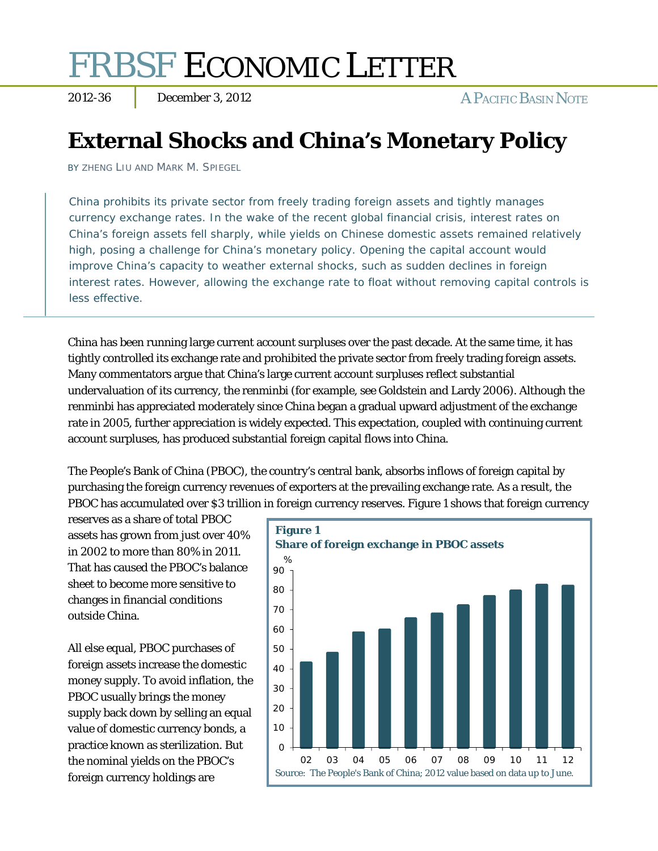# FRBSF ECONOMIC LETTER

2012-36 December 3, 2012 A PACIFIC BASIN NOTE

## **External Shocks and China's Monetary Policy**

BY ZHENG LIU AND MARK M. SPIEGEL

China prohibits its private sector from freely trading foreign assets and tightly manages currency exchange rates. In the wake of the recent global financial crisis, interest rates on China's foreign assets fell sharply, while yields on Chinese domestic assets remained relatively high, posing a challenge for China's monetary policy. Opening the capital account would improve China's capacity to weather external shocks, such as sudden declines in foreign interest rates. However, allowing the exchange rate to float without removing capital controls is less effective.

China has been running large current account surpluses over the past decade. At the same time, it has tightly controlled its exchange rate and prohibited the private sector from freely trading foreign assets. Many commentators argue that China's large current account surpluses reflect substantial undervaluation of its currency, the renminbi (for example, see Goldstein and Lardy 2006). Although the renminbi has appreciated moderately since China began a gradual upward adjustment of the exchange rate in 2005, further appreciation is widely expected. This expectation, coupled with continuing current account surpluses, has produced substantial foreign capital flows into China.

The People's Bank of China (PBOC), the country's central bank, absorbs inflows of foreign capital by purchasing the foreign currency revenues of exporters at the prevailing exchange rate. As a result, the PBOC has accumulated over \$3 trillion in foreign currency reserves. Figure 1 shows that foreign currency

reserves as a share of total PBOC assets has grown from just over 40% in 2002 to more than 80% in 2011. That has caused the PBOC's balance sheet to become more sensitive to changes in financial conditions outside China.

All else equal, PBOC purchases of foreign assets increase the domestic money supply. To avoid inflation, the PBOC usually brings the money supply back down by selling an equal value of domestic currency bonds, a practice known as sterilization. But the nominal yields on the PBOC's foreign currency holdings are

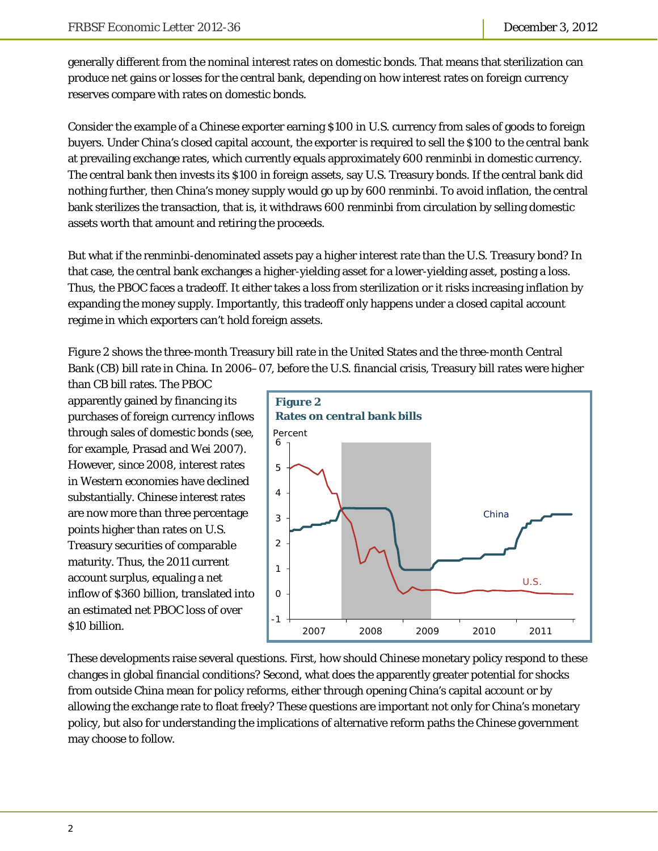generally different from the nominal interest rates on domestic bonds. That means that sterilization can produce net gains or losses for the central bank, depending on how interest rates on foreign currency reserves compare with rates on domestic bonds.

Consider the example of a Chinese exporter earning \$100 in U.S. currency from sales of goods to foreign buyers. Under China's closed capital account, the exporter is required to sell the \$100 to the central bank at prevailing exchange rates, which currently equals approximately 600 renminbi in domestic currency. The central bank then invests its \$100 in foreign assets, say U.S. Treasury bonds. If the central bank did nothing further, then China's money supply would go up by 600 renminbi. To avoid inflation, the central bank sterilizes the transaction, that is, it withdraws 600 renminbi from circulation by selling domestic assets worth that amount and retiring the proceeds.

But what if the renminbi-denominated assets pay a higher interest rate than the U.S. Treasury bond? In that case, the central bank exchanges a higher-yielding asset for a lower-yielding asset, posting a loss. Thus, the PBOC faces a tradeoff. It either takes a loss from sterilization or it risks increasing inflation by expanding the money supply. Importantly, this tradeoff only happens under a closed capital account regime in which exporters can't hold foreign assets.

Figure 2 shows the three-month Treasury bill rate in the United States and the three-month Central Bank (CB) bill rate in China. In 2006–07, before the U.S. financial crisis, Treasury bill rates were higher

than CB bill rates. The PBOC apparently gained by financing its purchases of foreign currency inflows through sales of domestic bonds (see, for example, Prasad and Wei 2007). However, since 2008, interest rates in Western economies have declined substantially. Chinese interest rates are now more than three percentage points higher than rates on U.S. Treasury securities of comparable maturity. Thus, the 2011 current account surplus, equaling a net inflow of \$360 billion, translated into an estimated net PBOC loss of over \$10 billion.



These developments raise several questions. First, how should Chinese monetary policy respond to these changes in global financial conditions? Second, what does the apparently greater potential for shocks from outside China mean for policy reforms, either through opening China's capital account or by allowing the exchange rate to float freely? These questions are important not only for China's monetary policy, but also for understanding the implications of alternative reform paths the Chinese government may choose to follow.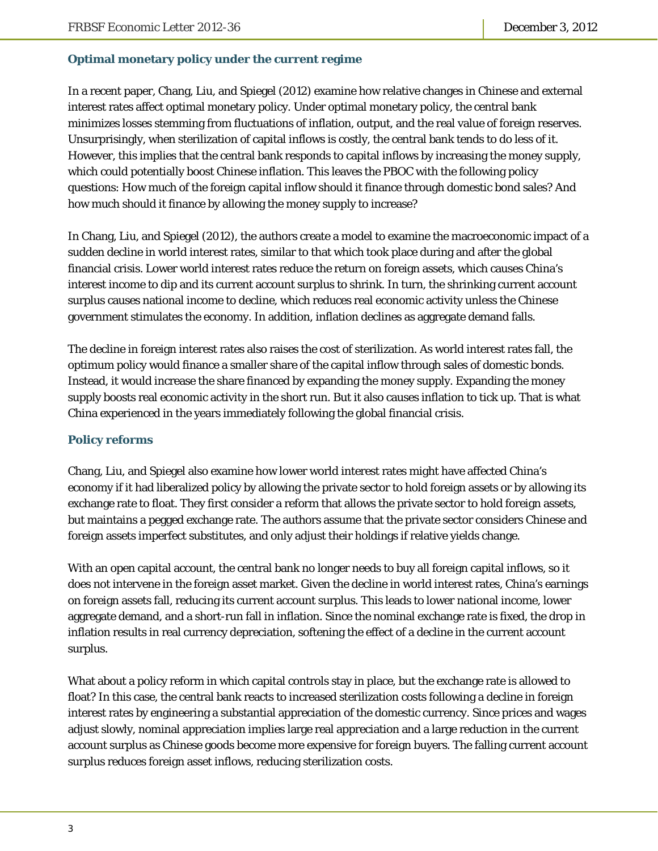### **Optimal monetary policy under the current regime**

In a recent paper, Chang, Liu, and Spiegel (2012) examine how relative changes in Chinese and external interest rates affect optimal monetary policy. Under optimal monetary policy, the central bank minimizes losses stemming from fluctuations of inflation, output, and the real value of foreign reserves. Unsurprisingly, when sterilization of capital inflows is costly, the central bank tends to do less of it. However, this implies that the central bank responds to capital inflows by increasing the money supply, which could potentially boost Chinese inflation. This leaves the PBOC with the following policy questions: How much of the foreign capital inflow should it finance through domestic bond sales? And how much should it finance by allowing the money supply to increase?

In Chang, Liu, and Spiegel (2012), the authors create a model to examine the macroeconomic impact of a sudden decline in world interest rates, similar to that which took place during and after the global financial crisis. Lower world interest rates reduce the return on foreign assets, which causes China's interest income to dip and its current account surplus to shrink. In turn, the shrinking current account surplus causes national income to decline, which reduces real economic activity unless the Chinese government stimulates the economy. In addition, inflation declines as aggregate demand falls.

The decline in foreign interest rates also raises the cost of sterilization. As world interest rates fall, the optimum policy would finance a smaller share of the capital inflow through sales of domestic bonds. Instead, it would increase the share financed by expanding the money supply. Expanding the money supply boosts real economic activity in the short run. But it also causes inflation to tick up. That is what China experienced in the years immediately following the global financial crisis.

### **Policy reforms**

Chang, Liu, and Spiegel also examine how lower world interest rates might have affected China's economy if it had liberalized policy by allowing the private sector to hold foreign assets or by allowing its exchange rate to float. They first consider a reform that allows the private sector to hold foreign assets, but maintains a pegged exchange rate. The authors assume that the private sector considers Chinese and foreign assets imperfect substitutes, and only adjust their holdings if relative yields change.

With an open capital account, the central bank no longer needs to buy all foreign capital inflows, so it does not intervene in the foreign asset market. Given the decline in world interest rates, China's earnings on foreign assets fall, reducing its current account surplus. This leads to lower national income, lower aggregate demand, and a short-run fall in inflation. Since the nominal exchange rate is fixed, the drop in inflation results in real currency depreciation, softening the effect of a decline in the current account surplus.

What about a policy reform in which capital controls stay in place, but the exchange rate is allowed to float? In this case, the central bank reacts to increased sterilization costs following a decline in foreign interest rates by engineering a substantial appreciation of the domestic currency. Since prices and wages adjust slowly, nominal appreciation implies large real appreciation and a large reduction in the current account surplus as Chinese goods become more expensive for foreign buyers. The falling current account surplus reduces foreign asset inflows, reducing sterilization costs.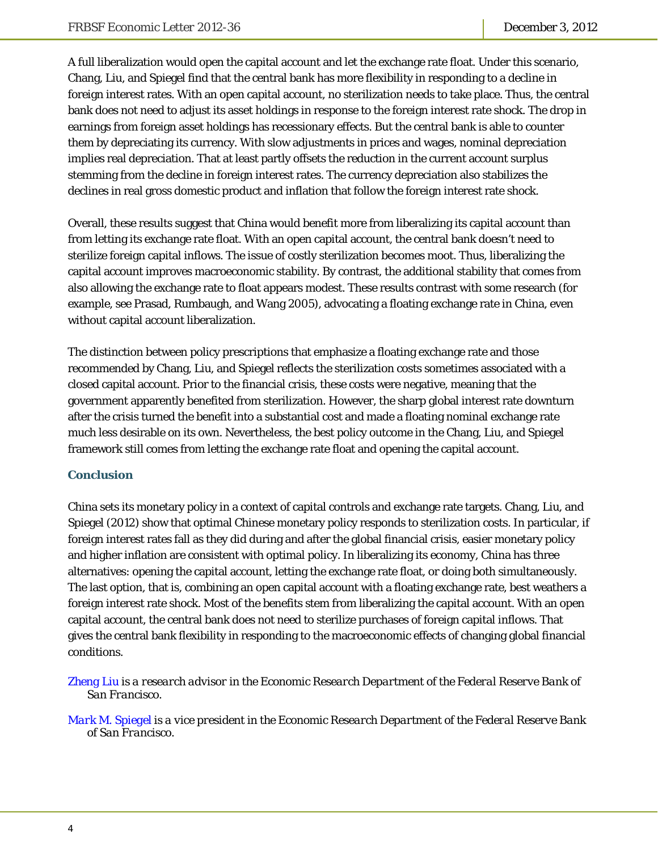A full liberalization would open the capital account and let the exchange rate float. Under this scenario, Chang, Liu, and Spiegel find that the central bank has more flexibility in responding to a decline in foreign interest rates. With an open capital account, no sterilization needs to take place. Thus, the central bank does not need to adjust its asset holdings in response to the foreign interest rate shock. The drop in earnings from foreign asset holdings has recessionary effects. But the central bank is able to counter them by depreciating its currency. With slow adjustments in prices and wages, nominal depreciation implies real depreciation. That at least partly offsets the reduction in the current account surplus stemming from the decline in foreign interest rates. The currency depreciation also stabilizes the declines in real gross domestic product and inflation that follow the foreign interest rate shock.

Overall, these results suggest that China would benefit more from liberalizing its capital account than from letting its exchange rate float. With an open capital account, the central bank doesn't need to sterilize foreign capital inflows. The issue of costly sterilization becomes moot. Thus, liberalizing the capital account improves macroeconomic stability. By contrast, the additional stability that comes from also allowing the exchange rate to float appears modest. These results contrast with some research (for example, see Prasad, Rumbaugh, and Wang 2005), advocating a floating exchange rate in China, even without capital account liberalization.

The distinction between policy prescriptions that emphasize a floating exchange rate and those recommended by Chang, Liu, and Spiegel reflects the sterilization costs sometimes associated with a closed capital account. Prior to the financial crisis, these costs were negative, meaning that the government apparently benefited from sterilization. However, the sharp global interest rate downturn after the crisis turned the benefit into a substantial cost and made a floating nominal exchange rate much less desirable on its own. Nevertheless, the best policy outcome in the Chang, Liu, and Spiegel framework still comes from letting the exchange rate float and opening the capital account.

### **Conclusion**

China sets its monetary policy in a context of capital controls and exchange rate targets. Chang, Liu, and Spiegel (2012) show that optimal Chinese monetary policy responds to sterilization costs. In particular, if foreign interest rates fall as they did during and after the global financial crisis, easier monetary policy and higher inflation are consistent with optimal policy. In liberalizing its economy, China has three alternatives: opening the capital account, letting the exchange rate float, or doing both simultaneously. The last option, that is, combining an open capital account with a floating exchange rate, best weathers a foreign interest rate shock. Most of the benefits stem from liberalizing the capital account. With an open capital account, the central bank does not need to sterilize purchases of foreign capital inflows. That gives the central bank flexibility in responding to the macroeconomic effects of changing global financial conditions.

*[Zheng Liu is](http://www.frbsf.org/economics/economists/staff.php?zliu) a research advisor in the Economic Research Department of the Federal Reserve Bank of San Francisco.* 

*[Mark M. Spiegel i](http://www.frbsf.org/economics/economists/staff.php?mspiegel)s a vice president in the Economic Research Department of the Federal Reserve Bank of San Francisco.*